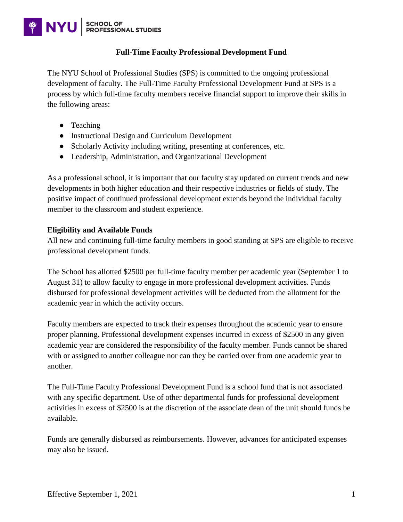# **SCHOOL OF<br>PROFESSIONAL STUDIES WINYU**

### **Full-Time Faculty Professional Development Fund**

The NYU School of Professional Studies (SPS) is committed to the ongoing professional development of faculty. The Full-Time Faculty Professional Development Fund at SPS is a process by which full-time faculty members receive financial support to improve their skills in the following areas:

- Teaching
- Instructional Design and Curriculum Development
- Scholarly Activity including writing, presenting at conferences, etc.
- Leadership, Administration, and Organizational Development

As a professional school, it is important that our faculty stay updated on current trends and new developments in both higher education and their respective industries or fields of study. The positive impact of continued professional development extends beyond the individual faculty member to the classroom and student experience.

### **Eligibility and Available Funds**

All new and continuing full-time faculty members in good standing at SPS are eligible to receive professional development funds.

The School has allotted \$2500 per full-time faculty member per academic year (September 1 to August 31) to allow faculty to engage in more professional development activities. Funds disbursed for professional development activities will be deducted from the allotment for the academic year in which the activity occurs.

Faculty members are expected to track their expenses throughout the academic year to ensure proper planning. Professional development expenses incurred in excess of \$2500 in any given academic year are considered the responsibility of the faculty member. Funds cannot be shared with or assigned to another colleague nor can they be carried over from one academic year to another.

The Full-Time Faculty Professional Development Fund is a school fund that is not associated with any specific department. Use of other departmental funds for professional development activities in excess of \$2500 is at the discretion of the associate dean of the unit should funds be available.

Funds are generally disbursed as reimbursements. However, advances for anticipated expenses may also be issued.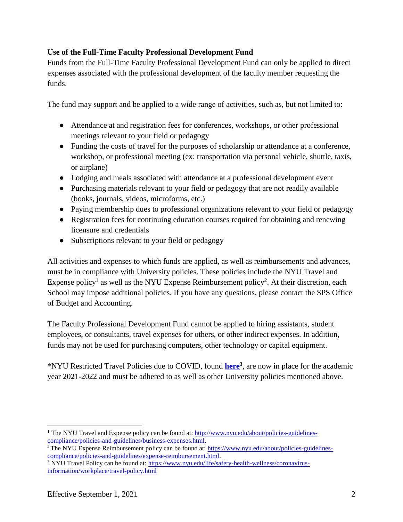# **Use of the Full-Time Faculty Professional Development Fund**

Funds from the Full-Time Faculty Professional Development Fund can only be applied to direct expenses associated with the professional development of the faculty member requesting the funds.

The fund may support and be applied to a wide range of activities, such as, but not limited to:

- Attendance at and registration fees for conferences, workshops, or other professional meetings relevant to your field or pedagogy
- Funding the costs of travel for the purposes of scholarship or attendance at a conference, workshop, or professional meeting (ex: transportation via personal vehicle, shuttle, taxis, or airplane)
- Lodging and meals associated with attendance at a professional development event
- Purchasing materials relevant to your field or pedagogy that are not readily available (books, journals, videos, microforms, etc.)
- Paying membership dues to professional organizations relevant to your field or pedagogy
- Registration fees for continuing education courses required for obtaining and renewing licensure and credentials
- Subscriptions relevant to your field or pedagogy

All activities and expenses to which funds are applied, as well as reimbursements and advances, must be in compliance with University policies. These policies include the NYU Travel and Expense policy<sup>1</sup> as well as the NYU Expense Reimbursement policy<sup>2</sup>. At their discretion, each School may impose additional policies. If you have any questions, please contact the SPS Office of Budget and Accounting.

The Faculty Professional Development Fund cannot be applied to hiring assistants, student employees, or consultants, travel expenses for others, or other indirect expenses. In addition, funds may not be used for purchasing computers, other technology or capital equipment.

\*NYU Restricted Travel Policies due to COVID, found **[here](https://www.nyu.edu/life/safety-health-wellness/coronavirus-information/workplace/travel-policy.html)<sup>3</sup>** , are now in place for the academic year 2021-2022 and must be adhered to as well as other University policies mentioned above.

<sup>&</sup>lt;sup>1</sup> The NYU Travel and Expense policy can be found at: [http://www.nyu.edu/about/policies-guidelines](http://www.nyu.edu/about/policies-guidelines-compliance/policies-and-guidelines/business-expenses.html)[compliance/policies-and-guidelines/business-expenses.html.](http://www.nyu.edu/about/policies-guidelines-compliance/policies-and-guidelines/business-expenses.html)

<sup>&</sup>lt;sup>2</sup> The NYU Expense Reimbursement policy can be found at: [https://www.nyu.edu/about/policies-guidelines](https://www.nyu.edu/about/policies-guidelines-compliance/policies-and-guidelines/expense-reimbursement.html)[compliance/policies-and-guidelines/expense-reimbursement.html.](https://www.nyu.edu/about/policies-guidelines-compliance/policies-and-guidelines/expense-reimbursement.html) 

<sup>&</sup>lt;sup>3</sup> NYU Travel Policy can be found at: [https://www.nyu.edu/life/safety-health-wellness/coronavirus](https://www.nyu.edu/life/safety-health-wellness/coronavirus-information/workplace/travel-policy.html)[information/workplace/travel-policy.html](https://www.nyu.edu/life/safety-health-wellness/coronavirus-information/workplace/travel-policy.html)